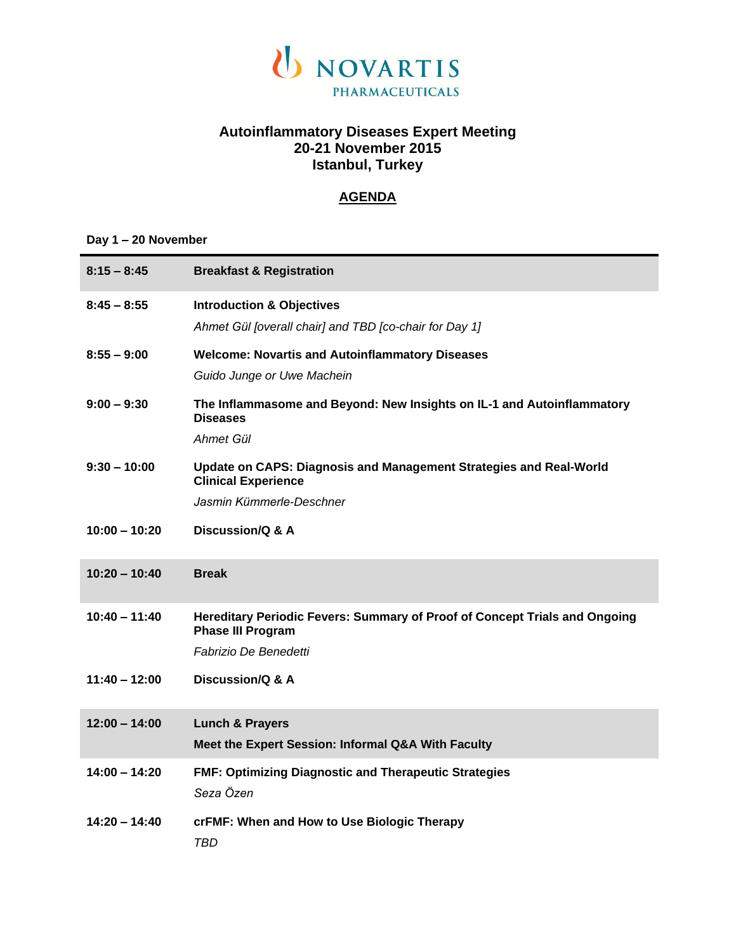

# **Autoinflammatory Diseases Expert Meeting 20-21 November 2015 Istanbul, Turkey**

### **AGENDA**

### **Day 1 – 20 November**

| $8:15 - 8:45$   | <b>Breakfast &amp; Registration</b>                                                                    |
|-----------------|--------------------------------------------------------------------------------------------------------|
| $8:45 - 8:55$   | <b>Introduction &amp; Objectives</b>                                                                   |
|                 | Ahmet Gül [overall chair] and TBD [co-chair for Day 1]                                                 |
| $8:55 - 9:00$   | <b>Welcome: Novartis and Autoinflammatory Diseases</b>                                                 |
|                 | Guido Junge or Uwe Machein                                                                             |
| $9:00 - 9:30$   | The Inflammasome and Beyond: New Insights on IL-1 and Autoinflammatory<br><b>Diseases</b>              |
|                 | Ahmet Gül                                                                                              |
| $9:30 - 10:00$  | Update on CAPS: Diagnosis and Management Strategies and Real-World<br><b>Clinical Experience</b>       |
|                 | Jasmin Kümmerle-Deschner                                                                               |
| $10:00 - 10:20$ | Discussion/Q & A                                                                                       |
| $10:20 - 10:40$ | <b>Break</b>                                                                                           |
| $10:40 - 11:40$ | Hereditary Periodic Fevers: Summary of Proof of Concept Trials and Ongoing<br><b>Phase III Program</b> |
|                 | Fabrizio De Benedetti                                                                                  |
| $11:40 - 12:00$ | Discussion/Q & A                                                                                       |
| $12:00 - 14:00$ | <b>Lunch &amp; Prayers</b>                                                                             |
|                 | Meet the Expert Session: Informal Q&A With Faculty                                                     |
| $14:00 - 14:20$ | <b>FMF: Optimizing Diagnostic and Therapeutic Strategies</b><br>Seza Özen                              |
| $14:20 - 14:40$ | crFMF: When and How to Use Biologic Therapy<br>TBD                                                     |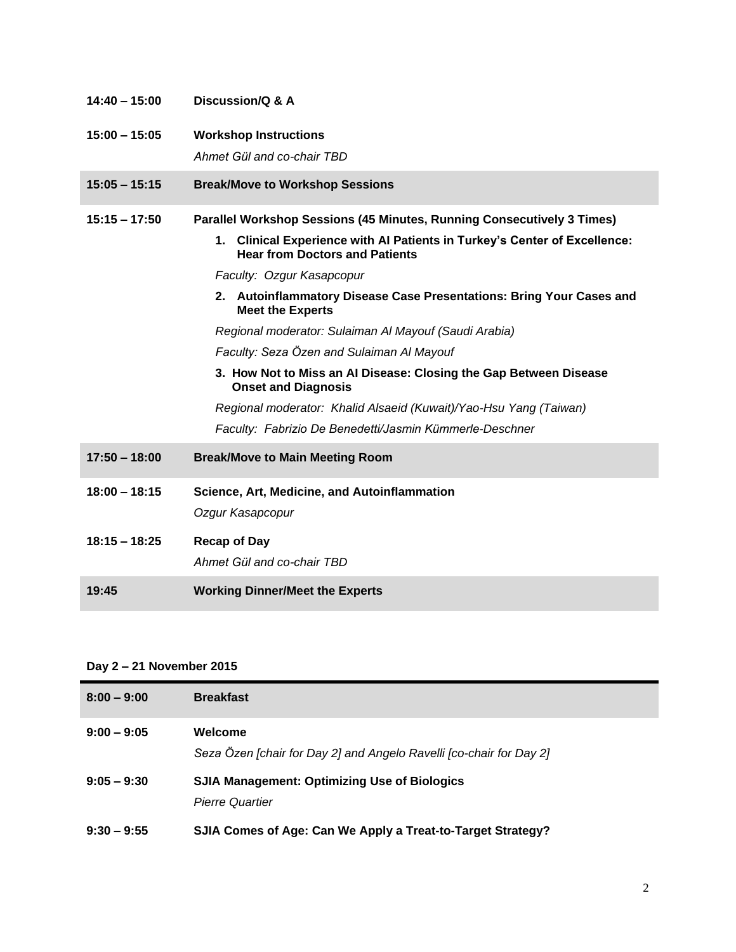| $14:40 - 15:00$ | Discussion/Q & A                                                                                                             |
|-----------------|------------------------------------------------------------------------------------------------------------------------------|
| $15:00 - 15:05$ | <b>Workshop Instructions</b>                                                                                                 |
|                 | Ahmet Gül and co-chair TBD                                                                                                   |
| $15:05 - 15:15$ | <b>Break/Move to Workshop Sessions</b>                                                                                       |
| $15:15 - 17:50$ | Parallel Workshop Sessions (45 Minutes, Running Consecutively 3 Times)                                                       |
|                 | <b>Clinical Experience with AI Patients in Turkey's Center of Excellence:</b><br>1.<br><b>Hear from Doctors and Patients</b> |
|                 | Faculty: Ozgur Kasapcopur                                                                                                    |
|                 | 2. Autoinflammatory Disease Case Presentations: Bring Your Cases and<br><b>Meet the Experts</b>                              |
|                 | Regional moderator: Sulaiman Al Mayouf (Saudi Arabia)                                                                        |
|                 | Faculty: Seza Özen and Sulaiman Al Mayouf                                                                                    |
|                 | 3. How Not to Miss an Al Disease: Closing the Gap Between Disease<br><b>Onset and Diagnosis</b>                              |
|                 | Regional moderator: Khalid Alsaeid (Kuwait)/Yao-Hsu Yang (Taiwan)                                                            |
|                 | Faculty: Fabrizio De Benedetti/Jasmin Kümmerle-Deschner                                                                      |
| $17:50 - 18:00$ | <b>Break/Move to Main Meeting Room</b>                                                                                       |
| $18:00 - 18:15$ | Science, Art, Medicine, and Autoinflammation                                                                                 |
|                 | Ozgur Kasapcopur                                                                                                             |
| $18:15 - 18:25$ | <b>Recap of Day</b>                                                                                                          |
|                 | Ahmet Gül and co-chair TBD                                                                                                   |
| 19:45           | <b>Working Dinner/Meet the Experts</b>                                                                                       |

# **Day 2 – 21 November 2015**

| $8:00 - 9:00$ | <b>Breakfast</b>                                                               |
|---------------|--------------------------------------------------------------------------------|
| $9:00 - 9:05$ | Welcome<br>Seza Özen [chair for Day 2] and Angelo Ravelli [co-chair for Day 2] |
| $9:05 - 9:30$ | <b>SJIA Management: Optimizing Use of Biologics</b><br><b>Pierre Quartier</b>  |
| $9:30 - 9:55$ | SJIA Comes of Age: Can We Apply a Treat-to-Target Strategy?                    |